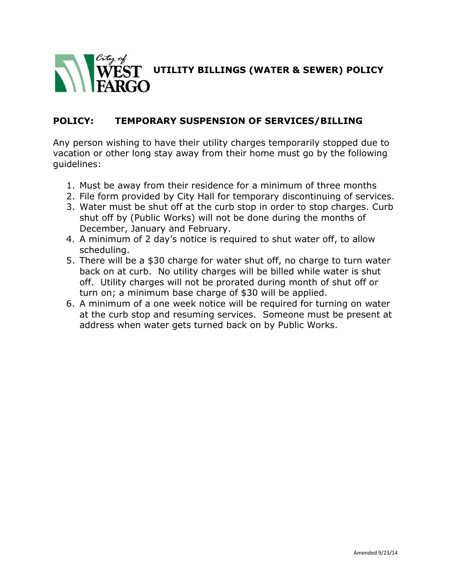

## **POLICY: TEMPORARY SUSPENSION OF SERVICES/BILLING**

Any person wishing to have their utility charges temporarily stopped due to vacation or other long stay away from their home must go by the following guidelines:

- 1. Must be away from their residence for a minimum of three months
- 2. File form provided by City Hall for temporary discontinuing of services.
- 3. Water must be shut off at the curb stop in order to stop charges. Curb shut off by (Public Works) will not be done during the months of December, January and February.
- 4. A minimum of 2 day's notice is required to shut water off, to allow scheduling.
- 5. There will be a \$30 charge for water shut off, no charge to turn water back on at curb. No utility charges will be billed while water is shut off. Utility charges will not be prorated during month of shut off or turn on; a minimum base charge of \$30 will be applied.
- 6. A minimum of a one week notice will be required for turning on water at the curb stop and resuming services. Someone must be present at address when water gets turned back on by Public Works.